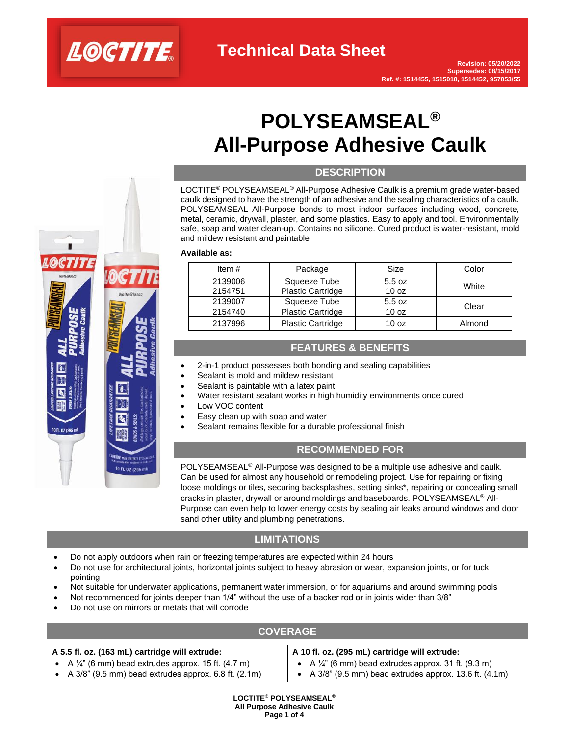

# **POLYSEAMSEAL® All-Purpose Adhesive Caulk**

### **DESCRIPTION**

LOCTITE® POLYSEAMSEAL® All-Purpose Adhesive Caulk is a premium grade water-based caulk designed to have the strength of an adhesive and the sealing characteristics of a caulk. POLYSEAMSEAL All-Purpose bonds to most indoor surfaces including wood, concrete, metal, ceramic, drywall, plaster, and some plastics. Easy to apply and tool. Environmentally safe, soap and water clean-up. Contains no silicone. Cured product is water-resistant, mold and mildew resistant and paintable

#### **Available as:**

| Item $#$ | Package                  | Size             | Color  |
|----------|--------------------------|------------------|--------|
| 2139006  | Squeeze Tube             | 5.5 oz           | White  |
| 2154751  | Plastic Cartridge        | 10 <sub>oz</sub> |        |
| 2139007  | Squeeze Tube             | 5.5 oz           | Clear  |
| 2154740  | Plastic Cartridge        | 10 <sub>oz</sub> |        |
| 2137996  | <b>Plastic Cartridge</b> | 10 <sub>oz</sub> | Almond |

## **FEATURES & BENEFITS**

- 2-in-1 product possesses both bonding and sealing capabilities
- Sealant is mold and mildew resistant
- Sealant is paintable with a latex paint
- Water resistant sealant works in high humidity environments once cured
- Low VOC content
- Easy clean up with soap and water
- Sealant remains flexible for a durable professional finish

## **RECOMMENDED FOR**

POLYSEAMSEAL® All-Purpose was designed to be a multiple use adhesive and caulk. Can be used for almost any household or remodeling project. Use for repairing or fixing loose moldings or tiles, securing backsplashes, setting sinks\*, repairing or concealing small cracks in plaster, drywall or around moldings and baseboards. POLYSEAMSEAL® All-Purpose can even help to lower energy costs by sealing air leaks around windows and door sand other utility and plumbing penetrations.

## **LIMITATIONS**

- Do not apply outdoors when rain or freezing temperatures are expected within 24 hours
- Do not use for architectural joints, horizontal joints subject to heavy abrasion or wear, expansion joints, or for tuck pointing
- Not suitable for underwater applications, permanent water immersion, or for aquariums and around swimming pools
- Not recommended for joints deeper than 1/4" without the use of a backer rod or in joints wider than 3/8"
- Do not use on mirrors or metals that will corrode

10 FL 02 (295 ml

0 FL 0Z (295

## **COVERAGE**

| A 5.5 fl. oz. (163 mL) cartridge will extrude:                  | A 10 fl. oz. (295 mL) cartridge will extrude:                   |  |  |
|-----------------------------------------------------------------|-----------------------------------------------------------------|--|--|
| • A $\frac{1}{4}$ " (6 mm) bead extrudes approx. 15 ft. (4.7 m) | • A $\frac{1}{4}$ " (6 mm) bead extrudes approx. 31 ft. (9.3 m) |  |  |
| • A $3/8$ " (9.5 mm) bead extrudes approx. 6.8 ft. (2.1m)       | • A $3/8$ " (9.5 mm) bead extrudes approx. 13.6 ft. $(4.1m)$    |  |  |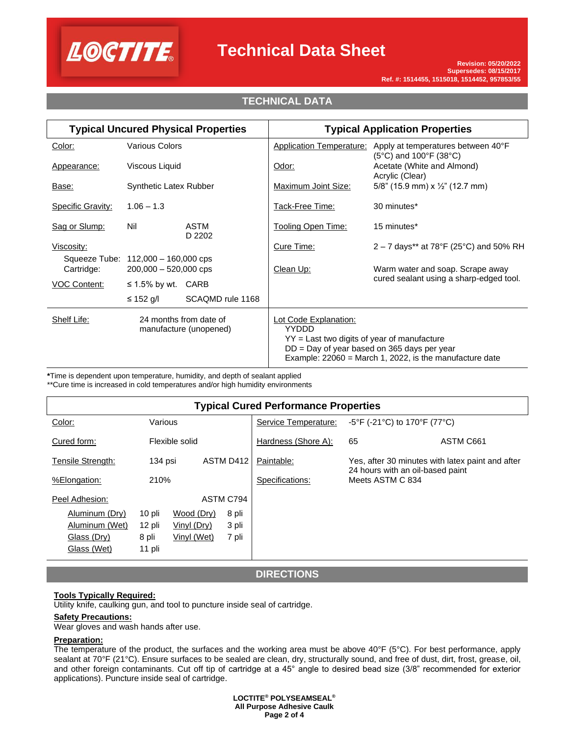

## **Technical Data Sheet**

## **TECHNICAL DATA**

| <b>Typical Uncured Physical Properties</b>                      |                                                                | <b>Typical Application Properties</b>                                                  |                                                                                                            |                                                                                            |
|-----------------------------------------------------------------|----------------------------------------------------------------|----------------------------------------------------------------------------------------|------------------------------------------------------------------------------------------------------------|--------------------------------------------------------------------------------------------|
| Color:                                                          | <b>Various Colors</b>                                          |                                                                                        | <b>Application Temperature:</b>                                                                            | Apply at temperatures between 40°F<br>$(5^{\circ}C)$ and 100 $^{\circ}F$ (38 $^{\circ}C$ ) |
| Appearance:                                                     | Viscous Liquid                                                 |                                                                                        | Odor:                                                                                                      | Acetate (White and Almond)<br>Acrylic (Clear)                                              |
| Base:                                                           | <b>Synthetic Latex Rubber</b>                                  |                                                                                        | Maximum Joint Size:                                                                                        | 5/8" (15.9 mm) x $\frac{1}{2}$ " (12.7 mm)                                                 |
| <b>Specific Gravity:</b>                                        | $1.06 - 1.3$                                                   |                                                                                        | Tack-Free Time:                                                                                            | 30 minutes*                                                                                |
| Sag or Slump:                                                   | Nil                                                            | ASTM<br>D 2202                                                                         | <b>Tooling Open Time:</b>                                                                                  | 15 minutes*                                                                                |
| Viscosity:                                                      |                                                                |                                                                                        | Cure Time:                                                                                                 | $2 - 7$ days** at 78°F (25°C) and 50% RH                                                   |
| Cartridge:                                                      | Squeeze Tube: 112,000 - 160,000 cps<br>$200,000 - 520,000$ cps |                                                                                        | Clean Up:                                                                                                  | Warm water and soap. Scrape away                                                           |
| <b>VOC Content:</b>                                             | $\leq$ 1.5% by wt. CARB                                        |                                                                                        |                                                                                                            | cured sealant using a sharp-edged tool.                                                    |
|                                                                 | ≤ 152 g/l                                                      | SCAQMD rule 1168                                                                       |                                                                                                            |                                                                                            |
| Shelf Life:<br>24 months from date of<br>manufacture (unopened) |                                                                | Lot Code Explanation:<br><b>YYDDD</b><br>$YY =$ Last two digits of year of manufacture | $DD = Day$ of year based on 365 days per year<br>Example: $22060$ = March 1, 2022, is the manufacture date |                                                                                            |

**\***Time is dependent upon temperature, humidity, and depth of sealant applied

\*\*Cure time is increased in cold temperatures and/or high humidity environments

## **Typical Cured Performance Properties**

| Color:            | Various |                | Service Temperature: | -5°F (-21°C) to 170°F (77°C) |                                                      |                                                  |  |  |
|-------------------|---------|----------------|----------------------|------------------------------|------------------------------------------------------|--------------------------------------------------|--|--|
| Cured form:       |         | Flexible solid |                      | Hardness (Shore A):          | 65                                                   | ASTM C661                                        |  |  |
| Tensile Strength: | 134 psi |                | ASTM D412            | Paintable:                   |                                                      | Yes, after 30 minutes with latex paint and after |  |  |
| %Elongation:      | 210%    |                |                      | Specifications:              | 24 hours with an oil-based paint<br>Meets ASTM C 834 |                                                  |  |  |
| Peel Adhesion:    |         |                | ASTM C794            |                              |                                                      |                                                  |  |  |
| Aluminum (Dry)    | 10 pli  | Wood (Dry)     | 8 pli                |                              |                                                      |                                                  |  |  |
| Aluminum (Wet)    | 12 pli  | Vinyl (Dry)    | 3 pli                |                              |                                                      |                                                  |  |  |
| Glass (Dry)       | 8 pli   | Vinyl (Wet)    | 7 pli                |                              |                                                      |                                                  |  |  |
| Glass (Wet)       | 11 pli  |                |                      |                              |                                                      |                                                  |  |  |

#### **DIRECTIONS**

#### **Tools Typically Required:**

Utility knife, caulking gun, and tool to puncture inside seal of cartridge.

#### **Safety Precautions:**

Wear gloves and wash hands after use.

#### **Preparation:**

The temperature of the product, the surfaces and the working area must be above 40°F (5°C). For best performance, apply sealant at 70°F (21°C). Ensure surfaces to be sealed are clean, dry, structurally sound, and free of dust, dirt, frost, grease, oil, and other foreign contaminants. Cut off tip of cartridge at a 45° angle to desired bead size (3/8" recommended for exterior applications). Puncture inside seal of cartridge.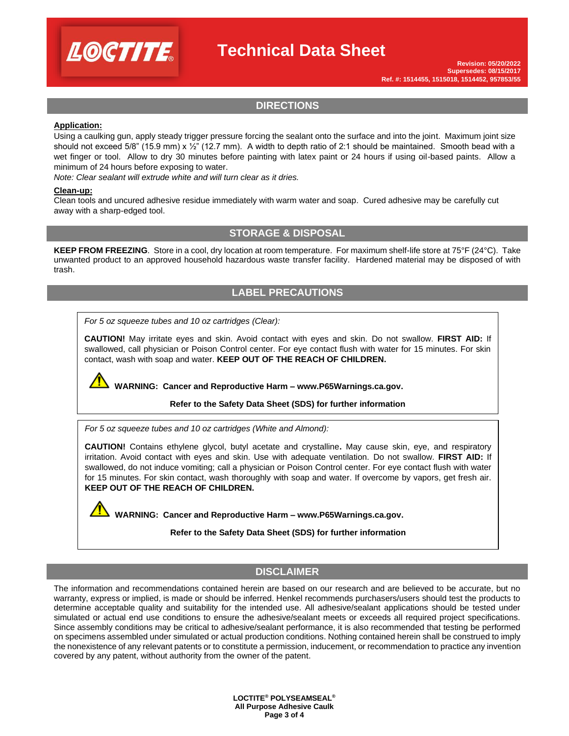

## **Technical Data Sheet**

## **DIRECTIONS**

#### **Application:**

Using a caulking gun, apply steady trigger pressure forcing the sealant onto the surface and into the joint. Maximum joint size should not exceed 5/8" (15.9 mm)  $x \frac{1}{2}$ " (12.7 mm). A width to depth ratio of 2:1 should be maintained. Smooth bead with a wet finger or tool. Allow to dry 30 minutes before painting with latex paint or 24 hours if using oil-based paints. Allow a minimum of 24 hours before exposing to water.

*Note: Clear sealant will extrude white and will turn clear as it dries.*

#### **Clean-up:**

Clean tools and uncured adhesive residue immediately with warm water and soap. Cured adhesive may be carefully cut away with a sharp-edged tool.

#### **STORAGE & DISPOSAL**

**KEEP FROM FREEZING**. Store in a cool, dry location at room temperature. For maximum shelf-life store at 75°F (24°C). Take unwanted product to an approved household hazardous waste transfer facility. Hardened material may be disposed of with trash.

## **LABEL PRECAUTIONS**

*For 5 oz squeeze tubes and 10 oz cartridges (Clear):* 

**CAUTION!** May irritate eyes and skin. Avoid contact with eyes and skin. Do not swallow. **FIRST AID:** If swallowed, call physician or Poison Control center. For eye contact flush with water for 15 minutes. For skin contact, wash with soap and water. **KEEP OUT OF THE REACH OF CHILDREN.**

**WARNING: Cancer and Reproductive Harm – www.P65Warnings.ca.gov.** 

#### **Refer to the Safety Data Sheet (SDS) for further information**

*For 5 oz squeeze tubes and 10 oz cartridges (White and Almond):* 

**CAUTION!** Contains ethylene glycol, butyl acetate and crystalline**.** May cause skin, eye, and respiratory irritation. Avoid contact with eyes and skin. Use with adequate ventilation. Do not swallow. **FIRST AID:** If swallowed, do not induce vomiting; call a physician or Poison Control center. For eye contact flush with water for 15 minutes. For skin contact, wash thoroughly with soap and water. If overcome by vapors, get fresh air. **KEEP OUT OF THE REACH OF CHILDREN.**

**WARNING: Cancer and Reproductive Harm – www.P65Warnings.ca.gov.** 

**Refer to the Safety Data Sheet (SDS) for further information**

## **DISCLAIMER**

The information and recommendations contained herein are based on our research and are believed to be accurate, but no warranty, express or implied, is made or should be inferred. Henkel recommends purchasers/users should test the products to determine acceptable quality and suitability for the intended use. All adhesive/sealant applications should be tested under simulated or actual end use conditions to ensure the adhesive/sealant meets or exceeds all required project specifications. Since assembly conditions may be critical to adhesive/sealant performance, it is also recommended that testing be performed on specimens assembled under simulated or actual production conditions. Nothing contained herein shall be construed to imply the nonexistence of any relevant patents or to constitute a permission, inducement, or recommendation to practice any invention covered by any patent, without authority from the owner of the patent.

> **LOCTITE® POLYSEAMSEAL® All Purpose Adhesive Caulk Page 3 of 4**